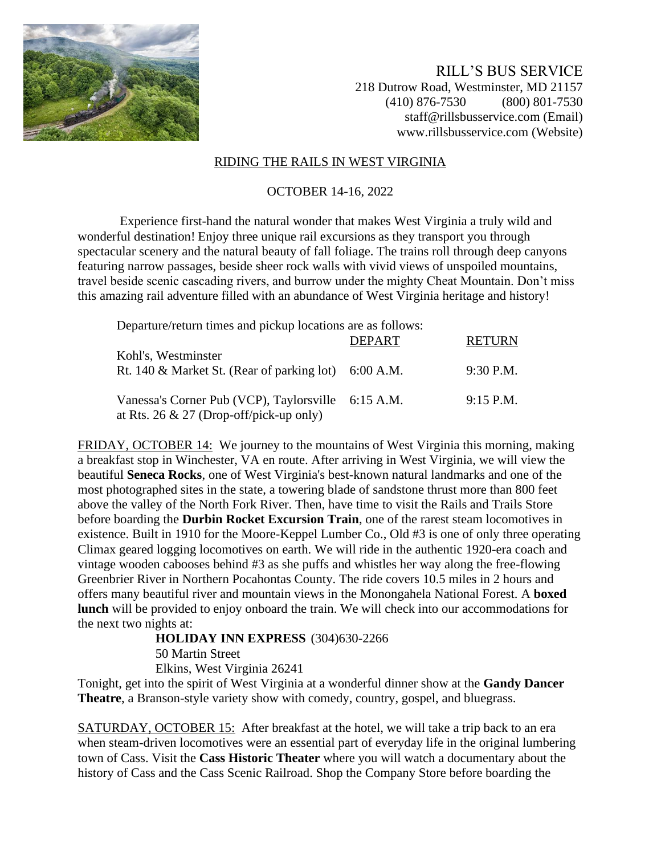

RILL'S BUS SERVICE 218 Dutrow Road, Westminster, MD 21157 (410) 876-7530 (800) 801-7530 staff@rillsbusservice.com (Email) www.rillsbusservice.com (Website)

#### RIDING THE RAILS IN WEST VIRGINIA

### OCTOBER 14-16, 2022

Experience first-hand the natural wonder that makes West Virginia a truly wild and wonderful destination! Enjoy three unique rail excursions as they transport you through spectacular scenery and the natural beauty of fall foliage. The trains roll through deep canyons featuring narrow passages, beside sheer rock walls with vivid views of unspoiled mountains, travel beside scenic cascading rivers, and burrow under the mighty Cheat Mountain. Don't miss this amazing rail adventure filled with an abundance of West Virginia heritage and history!

| Departure/return times and pickup locations are as follows: |        |               |
|-------------------------------------------------------------|--------|---------------|
|                                                             | DEPART | <b>RETURN</b> |
| Kohl's, Westminster                                         |        |               |
| Rt. 140 & Market St. (Rear of parking lot) $6:00$ A.M.      |        | 9:30 P.M.     |
|                                                             |        |               |
| Vanessa's Corner Pub (VCP), Taylorsville 6:15 A.M.          |        | $9:15$ P.M.   |
| at Rts. 26 & 27 (Drop-off/pick-up only)                     |        |               |

FRIDAY, OCTOBER 14: We journey to the mountains of West Virginia this morning, making a breakfast stop in Winchester, VA en route. After arriving in West Virginia, we will view the beautiful **Seneca Rocks**, one of West Virginia's best-known natural landmarks and one of the most photographed sites in the state, a towering blade of sandstone thrust more than 800 feet above the valley of the North Fork River. Then, have time to visit the Rails and Trails Store before boarding the **Durbin Rocket Excursion Train**, one of the rarest steam locomotives in existence. Built in 1910 for the Moore-Keppel Lumber Co., Old #3 is one of only three operating Climax geared logging locomotives on earth. We will ride in the authentic 1920-era coach and vintage wooden cabooses behind #3 as she puffs and whistles her way along the free-flowing Greenbrier River in Northern Pocahontas County. The ride covers 10.5 miles in 2 hours and offers many beautiful river and mountain views in the Monongahela National Forest. A **boxed lunch** will be provided to enjoy onboard the train. We will check into our accommodations for the next two nights at:

**HOLIDAY INN EXPRESS** (304)630-2266 50 Martin Street

Elkins, West Virginia 26241

Tonight, get into the spirit of West Virginia at a wonderful dinner show at the **Gandy Dancer Theatre**, a Branson-style variety show with comedy, country, gospel, and bluegrass.

SATURDAY, OCTOBER 15: After breakfast at the hotel, we will take a trip back to an era when steam-driven locomotives were an essential part of everyday life in the original lumbering town of Cass. Visit the **Cass Historic Theater** where you will watch a documentary about the history of Cass and the Cass Scenic Railroad. Shop the Company Store before boarding the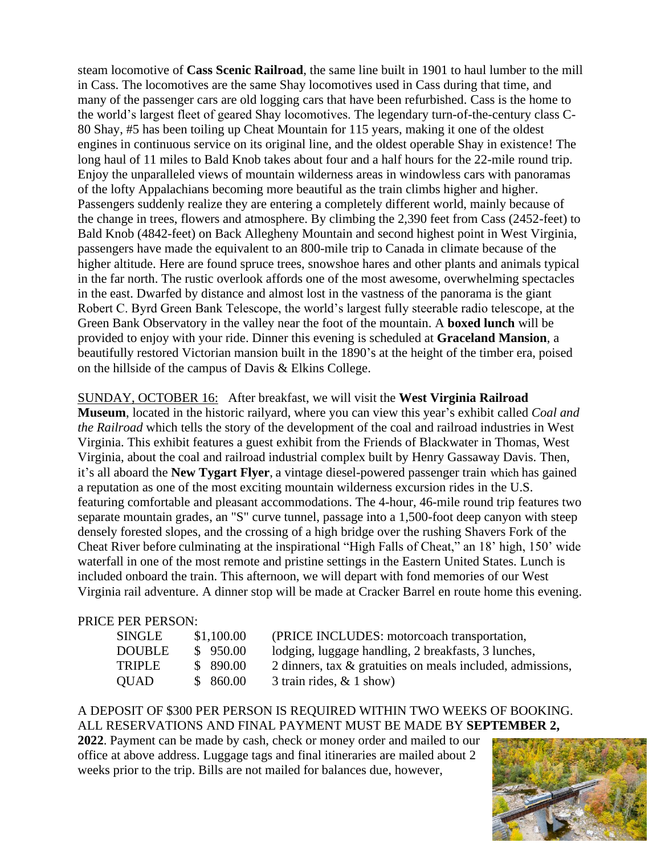steam locomotive of **Cass Scenic Railroad**, the same line built in 1901 to haul lumber to the mill in Cass. The locomotives are the same Shay locomotives used in Cass during that time, and many of the passenger cars are old logging cars that have been refurbished. Cass is the home to the world's largest fleet of geared Shay locomotives. The legendary turn-of-the-century class C-80 Shay, #5 has been toiling up Cheat Mountain for 115 years, making it one of the oldest engines in continuous service on its original line, and the oldest operable Shay in existence! The long haul of 11 miles to Bald Knob takes about four and a half hours for the 22-mile round trip. Enjoy the unparalleled views of mountain wilderness areas in windowless cars with panoramas of the lofty Appalachians becoming more beautiful as the train climbs higher and higher. Passengers suddenly realize they are entering a completely different world, mainly because of the change in trees, flowers and atmosphere. By climbing the 2,390 feet from Cass (2452-feet) to Bald Knob (4842-feet) on Back Allegheny Mountain and second highest point in West Virginia, passengers have made the equivalent to an 800-mile trip to Canada in climate because of the higher altitude. Here are found spruce trees, snowshoe hares and other plants and animals typical in the far north. The rustic overlook affords one of the most awesome, overwhelming spectacles in the east. Dwarfed by distance and almost lost in the vastness of the panorama is the giant Robert C. Byrd Green Bank Telescope, the world's largest fully steerable radio telescope, at the Green Bank Observatory in the valley near the foot of the mountain. A **boxed lunch** will be provided to enjoy with your ride. Dinner this evening is scheduled at **Graceland Mansion**, a beautifully restored Victorian mansion built in the 1890's at the height of the timber era, poised on the hillside of the campus of Davis & Elkins College.

# SUNDAY, OCTOBER 16: After breakfast, we will visit the **West Virginia Railroad**

**Museum**, located in the historic railyard, where you can view this year's exhibit called *Coal and the Railroad* which tells the story of the development of the coal and railroad industries in West Virginia. This exhibit features a guest exhibit from the Friends of Blackwater in Thomas, West Virginia, about the coal and railroad industrial complex built by Henry Gassaway Davis. Then, it's all aboard the **New Tygart Flyer**, a vintage diesel-powered passenger train which has gained a reputation as one of the most exciting mountain wilderness excursion rides in the U.S. featuring comfortable and pleasant accommodations. The 4-hour, 46-mile round trip features two separate mountain grades, an "S" curve tunnel, passage into a 1,500-foot deep canyon with steep densely forested slopes, and the crossing of a high bridge over the rushing Shavers Fork of the Cheat River before culminating at the inspirational "High Falls of Cheat," an 18' high, 150' wide waterfall in one of the most remote and pristine settings in the Eastern United States. Lunch is included onboard the train. This afternoon, we will depart with fond memories of our West Virginia rail adventure. A dinner stop will be made at Cracker Barrel en route home this evening.

### PRICE PER PERSON:

| SINGLE        | \$1,100.00 |
|---------------|------------|
| <b>DOUBLE</b> | \$950.00   |
| <b>TRIPLE</b> | \$890.00   |
| <b>QUAD</b>   | \$860.00   |

(PRICE INCLUDES: motorcoach transportation, lodging, luggage handling, 2 breakfasts, 3 lunches, 2 dinners, tax  $\&$  gratuities on meals included, admissions,  $3$  train rides,  $& 1$  show)

## A DEPOSIT OF \$300 PER PERSON IS REQUIRED WITHIN TWO WEEKS OF BOOKING. ALL RESERVATIONS AND FINAL PAYMENT MUST BE MADE BY **SEPTEMBER 2,**

**2022**. Payment can be made by cash, check or money order and mailed to our office at above address. Luggage tags and final itineraries are mailed about 2 weeks prior to the trip. Bills are not mailed for balances due, however,